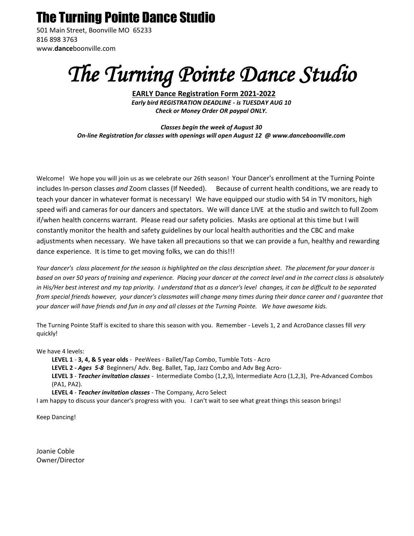# The Turning Pointe Dance Studio

501 Main Street, Boonville MO 65233 816 898 3763 www.**dance**boonville.com

# *The Turning Pointe Dance Studio*

**EARLY Dance Registration Form 2021-2022** *Early bird REGISTRATION DEADLINE - is TUESDAY AUG 10 Check or Money Order OR paypal ONLY.*

*Classes begin the week of August 30 On-line Registration for classes with openings will open August 12 @ www.danceboonville.com* 

Welcome! We hope you will join us as we celebrate our 26th season! Your Dancer's enrollment at the Turning Pointe includes In-person classes *and* Zoom classes (If Needed). Because of current health conditions, we are ready to teach your dancer in whatever format is necessary! We have equipped our studio with 54 in TV monitors, high speed wifi and cameras for our dancers and spectators. We will dance LIVE at the studio and switch to full Zoom if/when health concerns warrant. Please read our safety policies. Masks are optional at this time but I will constantly monitor the health and safety guidelines by our local health authorities and the CBC and make adjustments when necessary. We have taken all precautions so that we can provide a fun, healthy and rewarding dance experience. It is time to get moving folks, we can do this!!!

*Your dancer's class placement for the season is highlighted on the class description sheet. The placement for your dancer is based on over 50 years of training and experience. Placing your dancer at the correct level and in the correct class is absolutely*  in His/Her best interest and my top priority. I understand that as a dancer's level changes, it can be difficult to be separated *from special friends however, your dancer's classmates will change many times during their dance career and I guarantee that your dancer will have friends and fun in any and all classes at the Turning Pointe. We have awesome kids.* 

The Turning Pointe Staff is excited to share this season with you. Remember - Levels 1, 2 and AcroDance classes fill *very* quickly!

We have 4 levels:

**LEVEL 1** - **3, 4, & 5 year olds** - PeeWees - Ballet/Tap Combo, Tumble Tots - Acro **LEVEL 2 -** *Ages 5-8* Beginners/ Adv. Beg. Ballet, Tap, Jazz Combo and Adv Beg Acro-**LEVEL 3** - *Teacher invitation classes -* Intermediate Combo (1,2,3), Intermediate Acro (1,2,3),Pre-Advanced Combos (PA1, PA2). **LEVEL 4** - *Teacher invitation classes -* The Company, Acro Select

I am happy to discuss your dancer's progress with you. I can't wait to see what great things this season brings!

Keep Dancing!

Joanie Coble Owner/Director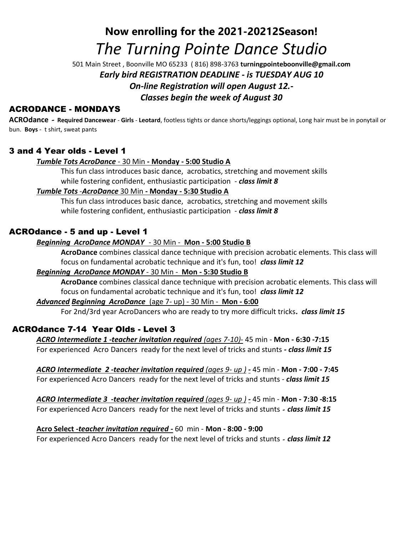# **Now enrolling for the 2021-20212Season!**  *The Turning Pointe Dance Studio*

501 Main Street , Boonville MO 65233 ( 816) 898-3763 **turningpointeboonville@gmail.com**  *Early bird REGISTRATION DEADLINE - is TUESDAY AUG 10 On-line Registration will open August 12.- Classes begin the week of August 30*

# ACRODANCE - MONDAYS

**ACROdance** *-* **Required Dancewear** - **Girls** - **Leotard**, footless tights or dance shorts/leggings optional, Long hair must be in ponytail or bun. **Boys** - t shirt, sweat pants

# 3 and 4 Year olds - Level 1

# *Tumble Tots AcroDance* - 30 Min **- Monday - 5:00 Studio A**

This fun class introduces basic dance, acrobatics, stretching and movement skills while fostering confident, enthusiastic participation - *class limit 8*

# *Tumble Tots* -*AcroDance* 30 Min **- Monday - 5:30 Studio A**

This fun class introduces basic dance, acrobatics, stretching and movement skills while fostering confident, enthusiastic participation - *class limit 8*

# ACROdance - 5 and up - Level 1

# *Beginning AcroDance MONDAY*- 30 Min - **Mon - 5:00 Studio B**

**AcroDance** combines classical dance technique with precision acrobatic elements. This class will focus on fundamental acrobatic technique and it's fun, too! *class limit 12*

#### *Beginning AcroDance MONDAY* - 30 Min - **Mon - 5:30 Studio B**

**AcroDance** combines classical dance technique with precision acrobatic elements. This class will focus on fundamental acrobatic technique and it's fun, too! *class limit 12*

# *Advanced Beginning AcroDance*(age 7- up) - 30 Min - **Mon - 6:00**

For 2nd/3rd year AcroDancers who are ready to try more difficult tricks**.** *class limit 15* 

# ACROdance 7-14 Year Olds - Level 3

*ACRO Intermediate 1 -teacher invitation required (ages 7-10)-* 45 min - **Mon - 6:30 -7:15** For experienced Acro Dancers ready for the next level of tricks and stunts *- class limit 15* 

*ACRO Intermediate 2 -teacher invitation required (ages 9- up ) -* 45 min - **Mon - 7:00 - 7:45** For experienced Acro Dancers ready for the next level of tricks and stunts - *class limit 15* 

*ACRO Intermediate 3 -teacher invitation required (ages 9- up ) -* 45 min - **Mon - 7:30 -8:15** For experienced Acro Dancers ready for the next level of tricks and stunts *- class limit 15* 

#### **Acro Select** *-teacher invitation required -* 60 min - **Mon - 8:00 - 9:00**

For experienced Acro Dancers ready for the next level of tricks and stunts *- class limit 12*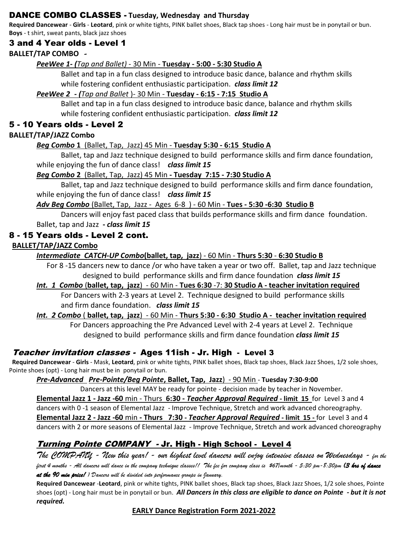# DANCE COMBO CLASSES - **Tuesday, Wednesday and Thursday**

**Required Dancewear** - **Girls** - **Leotard**, pink or white tights, PINK ballet shoes, Black tap shoes - Long hair must be in ponytail or bun. **Boys** - t shirt, sweat pants, black jazz shoes

# 3 and 4 Year olds - Level 1

# **BALLET/TAP COMBO** *-*

# *PeeWee 1- (Tap and Ballet)* - 30 Min - **Tuesday - 5:00 - 5:30 Studio A**

Ballet and tap in a fun class designed to introduce basic dance, balance and rhythm skills while fostering confident enthusiastic participation. *class limit 12* 

# *PeeWee 2 - (Tap and Ballet* )- 30 Min - **Tuesday - 6:15 - 7:15 Studio A**

Ballet and tap in a fun class designed to introduce basic dance, balance and rhythm skills while fostering confident enthusiastic participation. *class limit 12* 

# 5 - 10 Years olds - Level 2

#### **BALLET/TAP/JAZZ Combo**

# *Beg Combo* **1** (Ballet, Tap, Jazz) 45 Min - **Tuesday 5:30 - 6:15 Studio A**

Ballet, tap and Jazz technique designed to build performance skills and firm dance foundation, while enjoying the fun of dance class! *class limit 15*

#### *Beg Combo* **2** (Ballet, Tap, Jazz) 45 Min **- Tuesday 7:15 - 7:30 Studio A**

Ballet, tap and Jazz technique designed to build performance skills and firm dance foundation, while enjoying the fun of dance class! *class limit 15*

#### *Adv Beg Combo* (Ballet, Tap, Jazz - Ages 6-8) - 60 Min - **Tues - 5:30 -6:30 Studio B**

Dancers will enjoy fast paced class that builds performance skills and firm dance foundation. Ballet, tap and Jazz **-** *class limit 15*

# 8 - 15 Years olds - Level 2 cont.

#### **BALLET/TAP/JAZZ Combo**

*Intermediate CATCH-UP Combo***(ballet, tap, jazz**) - 60 Min - **Thurs 5:30** - **6:30 Studio B**

For 8 -15 dancers new to dance /or who have taken a year or two off. Ballet, tap and Jazz technique designed to build performance skills and firm dance foundation *class limit 15*

*Int. 1 Combo* (**ballet, tap, jazz**) - 60 Min - **Tues 6:30** -7: **30 Studio A - teacher invitation required** For Dancers with 2-3 years at Level 2. Technique designed to build performance skills and firm dance foundation. *class limit 15*

# *Int. 2 Combo* ( **ballet, tap, jazz**) - 60 Min - **Thurs 5:30 - 6:30 Studio A - teacher invitation required**

For Dancers approaching the Pre Advanced Level with 2-4 years at Level 2. Technique designed to build performance skills and firm dance foundation *class limit 15*

# Teacher invitation classes - Ages 11ish - Jr. High - Level 3

**Required Dancewear** - **Girls** - Mask, **Leotard**, pink or white tights, PINK ballet shoes, Black tap shoes, Black Jazz Shoes, 1/2 sole shoes, Pointe shoes (opt) - Long hair must be in ponytail or bun.

#### *Pre-Advanced Pre-Pointe/Beg Pointe***, Ballet, Tap, Jazz**) - 90 Min - **Tuesday 7:30-9:00**

Dancers at this level MAY be ready for pointe - decision made by teacher in November. **Elemental Jazz 1 - Jazz -60** min - Thurs **6:30 -** *Teacher Approval Required* **- limit 15** for Level 3 and 4 dancers with 0 -1 season of Elemental Jazz - Improve Technique, Stretch and work advanced choreography. **Elemental Jazz 2 - Jazz -60** min **- Thurs 7:30 -** *Teacher Approval Required* **- limit 15 -** for Level 3 and 4 dancers with 2 or more seasons of Elemental Jazz - Improve Technique, Stretch and work advanced choreography

# Turning Pointe COMPANY - Jr. High - High School - Level 4

*The COMPANY - New this year! - our highest level dancers will enjoy intensive classes on Wednesdays - for the first 4 months - All dancers will dance in the company technique classes!! The fee for company class is \$67/month - 5:30 pm-8:30pm (3 hrs of dance at the 90 min price! ) Dancers will be divided into performance groups in January.*

**Required Dancewear** -**Leotard**, pink or white tights, PINK ballet shoes, Black tap shoes, Black Jazz Shoes, 1/2 sole shoes, Pointe shoes (opt) - Long hair must be in ponytail or bun. *All Dancers in this class are eligible to dance on Pointe - but it is not required.*

#### **EARLY Dance Registration Form 2021-2022**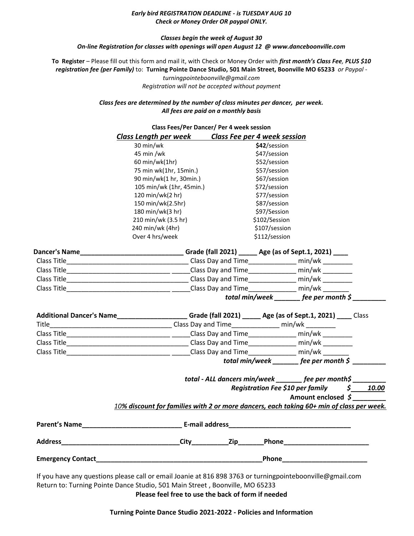#### *Early bird REGISTRATION DEADLINE - is TUESDAY AUG 10 Check or Money Order OR paypal ONLY.*

#### *Classes begin the week of August 30 On-line Registration for classes with openings will open August 12 @ www.danceboonville.com*

**To Register** – Please fill out this form and mail it, with Check or Money Order with *first month's Class Fee, PLUS \$10 registration fee (per Family)* to: **Turning Pointe Dance Studio, 501 Main Street, Boonville MO 65233** *or Paypal -*

> *turningpointeboonville@gmail.com Registration will not be accepted without payment*

*Class fees are determined by the number of class minutes per dancer, per week. All fees are paid on a monthly basis*

|                      |                                                                                                          | <b>Class Fees/Per Dancer/ Per 4 week session</b> |                                                            |  |
|----------------------|----------------------------------------------------------------------------------------------------------|--------------------------------------------------|------------------------------------------------------------|--|
|                      | <b>Class Length per week Class Fee per 4 week session</b>                                                |                                                  |                                                            |  |
|                      | 30 min/wk                                                                                                | \$42/session                                     |                                                            |  |
|                      | 45 min /wk                                                                                               | \$47/session                                     |                                                            |  |
|                      | 60 min/wk(1hr)                                                                                           | \$52/session                                     |                                                            |  |
|                      | 75 min wk(1hr, 15min.)                                                                                   | \$57/session                                     |                                                            |  |
|                      | 90 min/wk(1 hr, 30min.)                                                                                  | \$67/session                                     |                                                            |  |
|                      | 105 min/wk (1hr, 45min.)                                                                                 | \$72/session                                     |                                                            |  |
|                      | 120 min/wk(2 hr)                                                                                         | \$77/session                                     |                                                            |  |
|                      | 150 min/wk(2.5hr)                                                                                        | \$87/session                                     |                                                            |  |
|                      | 180 min/wk(3 hr)                                                                                         | \$97/Session                                     |                                                            |  |
|                      | 210 min/wk (3.5 hr)                                                                                      | \$102/Session                                    |                                                            |  |
|                      | 240 min/wk (4hr)<br>Over 4 hrs/week                                                                      | \$107/session<br>\$112/session                   |                                                            |  |
|                      |                                                                                                          |                                                  |                                                            |  |
|                      | Dancer's Name________________________________Grade (fall 2021) ______ Age (as of Sept.1, 2021) _____     |                                                  |                                                            |  |
|                      |                                                                                                          |                                                  |                                                            |  |
|                      |                                                                                                          |                                                  |                                                            |  |
|                      |                                                                                                          |                                                  |                                                            |  |
|                      |                                                                                                          |                                                  |                                                            |  |
|                      |                                                                                                          |                                                  | total min/week _______ fee per month $\zeta$               |  |
|                      | Additional Dancer's Name_____________________Grade (fall 2021) _____ Age (as of Sept.1, 2021) ____ Class |                                                  |                                                            |  |
|                      |                                                                                                          |                                                  |                                                            |  |
|                      |                                                                                                          |                                                  |                                                            |  |
|                      |                                                                                                          |                                                  |                                                            |  |
|                      |                                                                                                          |                                                  | total min/week $f(x)$ fee per month $\zeta$                |  |
|                      |                                                                                                          |                                                  | total - ALL dancers min/week _______ fee per month\$ _____ |  |
|                      |                                                                                                          |                                                  | Registration Fee \$10 per family \$ 10.00                  |  |
|                      |                                                                                                          |                                                  | Amount enclosed \$                                         |  |
|                      | 10% discount for families with 2 or more dancers, each taking 60+ min of class per week.                 |                                                  |                                                            |  |
| <b>Parent's Name</b> | <b>E-mail address</b>                                                                                    |                                                  |                                                            |  |
| <b>Address</b>       |                                                                                                          |                                                  |                                                            |  |

**Please feel free to use the back of form if needed**

**Turning Pointe Dance Studio 2021-2022 - Policies and Information**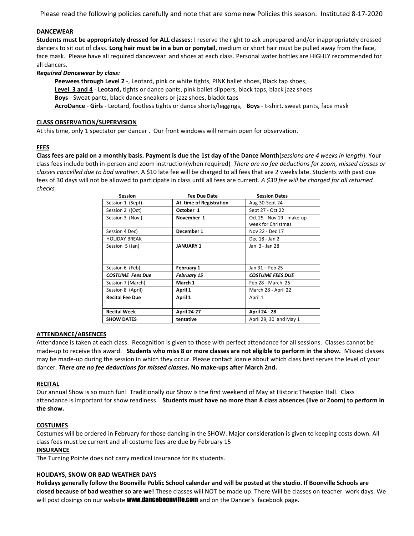Please read the following policies carefully and note that are some new Policies this season. Instituted 8-17-2020

#### **DANCEWEAR**

**Students must be appropriately dressed for ALL classes**: I reserve the right to ask unprepared and/or inappropriately dressed dancers to sit out of class. **Long hair must be in a bun or ponytail**, medium or short hair must be pulled away from the face, face mask. Please have all required dancewear and shoes at each class. Personal water bottles are HIGHLY recommended for all dancers.

#### *Required Dancewear by class:*

**Peewees through Level 2** -, Leotard, pink or white tights, PINK ballet shoes, Black tap shoes, **Level 3 and 4** - **Leotard,** tights or dance pants, pink ballet slippers, black taps, black jazz shoes **Boys** - Sweat pants, black dance sneakers or jazz shoes, blackk taps **AcroDance** - **Girls** - Leotard, footless tights or dance shorts/leggings, **Boys** - t-shirt, sweat pants, face mask

#### **CLASS OBSERVATION/SUPERVISION**

At this time, only 1 spectator per dancer . Our front windows will remain open for observation.

#### **FEES**

**Class fees are paid on a monthly basis. Payment is due the 1st day of the Dance Month**(*sessions are 4 weeks in length*). Your class fees include both in-person and zoom instruction(when required) *There are no fee deductions for zoom, missed classes or classes cancelled due to bad weather.* A \$10 late fee will be charged to all fees that are 2 weeks late. Students with past due fees of 30 days will not be allowed to participate in class until all fees are current. *A \$30 fee will be charged for all returned checks.*

| <b>Session</b>          | Fee Due Date            | <b>Session Dates</b>                            |
|-------------------------|-------------------------|-------------------------------------------------|
| Session 1 (Sept)        | At time of Registration | Aug 30-Sept 24                                  |
| Session 2 ((Oct)        | October 1               | Sept 27 - Oct 22                                |
| Session 3 (Nov)         | November 1              | Oct 25 - Nov 19 - make-up<br>week for Christmas |
| Session 4 Dec)          | December 1              | Nov 22 - Dec 17                                 |
| <b>HOLIDAY BREAK</b>    |                         | Dec 18 - Jan 2                                  |
| Session 5 (Jan)         | <b>JANUARY 1</b>        | Jan 3- Jan 28                                   |
| Session 6 (Feb)         | February 1              | Jan 31 - Feb 25                                 |
| <b>COSTUME</b> Fees Due | <b>February 15</b>      | <b>COSTUME FEES DUE</b>                         |
| Session 7 (March)       | March 1                 | Feb 28 - March 25                               |
| Session 8 (April)       | April 1                 | March 28 - April 22                             |
| <b>Recital Fee Due</b>  | April 1                 | April 1                                         |
| <b>Recital Week</b>     | <b>April 24-27</b>      | <b>April 24 - 28</b>                            |
| <b>SHOW DATES</b>       | tentative               | April 29, 30 and May 1                          |

#### **ATTENDANCE/ABSENCES**

Attendance is taken at each class. Recognition is given to those with perfect attendance for all sessions. Classes cannot be made-up to receive this award. **Students who miss 8 or more classes are not eligible to perform in the show.** Missed classes may be made-up during the session in which they occur. Please contact Joanie about which class best serves the level of your dancer. *There are no fee deductions for missed classes***. No make-ups after March 2nd.**

#### **RECITAL**

Our annual Show is so much fun! Traditionally our Show is the first weekend of May at Historic Thespian Hall. Class attendance is important for show readiness. **Students must have no more than 8 class absences (live or Zoom) to perform in the show.** 

#### **COSTUMES**

Costumes will be ordered in February for those dancing in the SHOW. Major consideration is given to keeping costs down. All class fees must be current and all costume fees are due by February 15

#### **INSURANCE**

The Turning Pointe does not carry medical insurance for its students.

#### **HOLIDAYS, SNOW OR BAD WEATHER DAYS**

**Holidays generally follow the Boonville Public School calendar and will be posted at the studio. If Boonville Schools are closed because of bad weather so are we!** These classes will NOT be made up. There Will be classes on teacher work days. We will post closings on our website **www.danceboonville.com** and on the Dancer's facebook page.